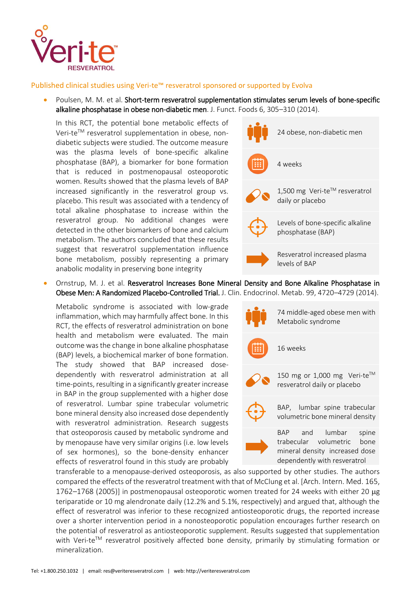

## Published clinical studies using Veri-te™ resveratrol sponsored or supported by Evolva

 Poulsen, M. M. et al. Short-term resveratrol supplementation stimulates serum levels of bone-specific alkaline phosphatase in obese non-diabetic men. J. Funct. Foods 6, 305–310 (2014).

In this RCT, the potential bone metabolic effects of Veri-te™ resveratrol supplementation in obese, nondiabetic subjects were studied. The outcome measure was the plasma levels of bone-specific alkaline phosphatase (BAP), a biomarker for bone formation that is reduced in postmenopausal osteoporotic women. Results showed that the plasma levels of BAP increased significantly in the resveratrol group vs. placebo. This result was associated with a tendency of total alkaline phosphatase to increase within the resveratrol group. No additional changes were detected in the other biomarkers of bone and calcium metabolism. The authors concluded that these results suggest that resveratrol supplementation influence bone metabolism, possibly representing a primary anabolic modality in preserving bone integrity

- 24 obese, non-diabetic men 4 weeks 1,500 mg Veri-te™ resveratrol daily or placebo Levels of bone-specific alkaline phosphatase (BAP) Resveratrol increased plasma levels of BAP
- Ornstrup, M. J. et al. Resveratrol Increases Bone Mineral Density and Bone Alkaline Phosphatase in Obese Men: A Randomized Placebo-Controlled Trial. J. Clin. Endocrinol. Metab. 99, 4720–4729 (2014).

Metabolic syndrome is associated with low-grade inflammation, which may harmfully affect bone. In this RCT, the effects of resveratrol administration on bone health and metabolism were evaluated. The main outcome was the change in bone alkaline phosphatase (BAP) levels, a biochemical marker of bone formation. The study showed that BAP increased dosedependently with resveratrol administration at all time-points, resulting in a significantly greater increase in BAP in the group supplemented with a higher dose of resveratrol. Lumbar spine trabecular volumetric bone mineral density also increased dose dependently with resveratrol administration. Research suggests that osteoporosis caused by metabolic syndrome and by menopause have very similar origins (i.e. low levels of sex hormones), so the bone-density enhancer effects of resveratrol found in this study are probably

74 middle-aged obese men with Metabolic syndrome 16 weeks 150 mg or 1,000 mg Veri-te™ resveratrol daily or placebo BAP, lumbar spine trabecular volumetric bone mineral density BAP and lumbar spine trabecular volumetric bone mineral density increased dose dependently with resveratrol

transferable to a menopause-derived osteoporosis, as also supported by other studies. The authors compared the effects of the resveratrol treatment with that of McClung et al. [Arch. Intern. Med. 165, 1762–1768 (2005)] in postmenopausal osteoporotic women treated for 24 weeks with either 20 µg teriparatide or 10 mg alendronate daily (12.2% and 5.1%, respectively) and argued that, although the effect of resveratrol was inferior to these recognized antiosteoporotic drugs, the reported increase over a shorter intervention period in a nonosteoporotic population encourages further research on the potential of resveratrol as antiosteoporotic supplement. Results suggested that supplementation with Veri-te<sup>TM</sup> resveratrol positively affected bone density, primarily by stimulating formation or mineralization.